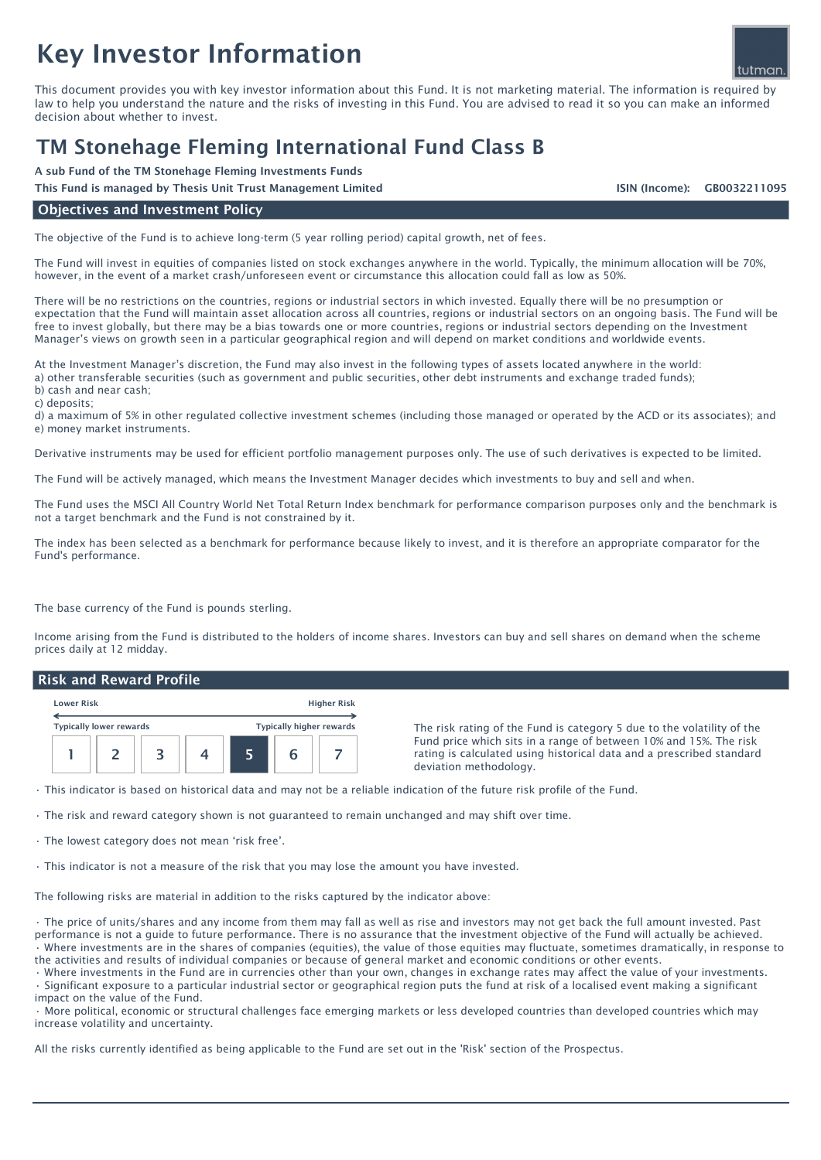# Key Investor Information

This document provides you with key investor information about this Fund. It is not marketing material. The information is required by law to help you understand the nature and the risks of investing in this Fund. You are advised to read it so you can make an informed decision about whether to invest.

## TM Stonehage Fleming International Fund Class B

A sub Fund of the TM Stonehage Fleming Investments Funds

This Fund is managed by Thesis Unit Trust Management Limited GB0032211095

ISIN (Income):

#### Objectives and Investment Policy

The objective of the Fund is to achieve long-term (5 year rolling period) capital growth, net of fees.

The Fund will invest in equities of companies listed on stock exchanges anywhere in the world. Typically, the minimum allocation will be 70%, however, in the event of a market crash/unforeseen event or circumstance this allocation could fall as low as 50%.

There will be no restrictions on the countries, regions or industrial sectors in which invested. Equally there will be no presumption or expectation that the Fund will maintain asset allocation across all countries, regions or industrial sectors on an ongoing basis. The Fund will be free to invest globally, but there may be a bias towards one or more countries, regions or industrial sectors depending on the Investment Manager's views on growth seen in a particular geographical region and will depend on market conditions and worldwide events.

At the Investment Manager's discretion, the Fund may also invest in the following types of assets located anywhere in the world: a) other transferable securities (such as government and public securities, other debt instruments and exchange traded funds); b) cash and near cash;

c) deposits;

d) a maximum of 5% in other regulated collective investment schemes (including those managed or operated by the ACD or its associates); and e) money market instruments.

Derivative instruments may be used for efficient portfolio management purposes only. The use of such derivatives is expected to be limited.

The Fund will be actively managed, which means the Investment Manager decides which investments to buy and sell and when.

The Fund uses the MSCI All Country World Net Total Return Index benchmark for performance comparison purposes only and the benchmark is not a target benchmark and the Fund is not constrained by it.

The index has been selected as a benchmark for performance because likely to invest, and it is therefore an appropriate comparator for the Fund's performance.

The base currency of the Fund is pounds sterling.

Income arising from the Fund is distributed to the holders of income shares. Investors can buy and sell shares on demand when the scheme prices daily at 12 midday.

#### Risk and Reward Profile

| <b>Lower Risk</b>              |  |  | <b>Higher Risk</b> |                                 |  |  |  |
|--------------------------------|--|--|--------------------|---------------------------------|--|--|--|
| <b>Typically lower rewards</b> |  |  |                    | <b>Typically higher rewards</b> |  |  |  |
|                                |  |  |                    |                                 |  |  |  |

The risk rating of the Fund is category 5 due to the volatility of the Fund price which sits in a range of between 10% and 15%. The risk rating is calculated using historical data and a prescribed standard deviation methodology.

• This indicator is based on historical data and may not be a reliable indication of the future risk profile of the Fund.

• The risk and reward category shown is not guaranteed to remain unchanged and may shift over time.

• The lowest category does not mean 'risk free'.

• This indicator is not a measure of the risk that you may lose the amount you have invested.

The following risks are material in addition to the risks captured by the indicator above:

• The price of units/shares and any income from them may fall as well as rise and investors may not get back the full amount invested. Past performance is not a guide to future performance. There is no assurance that the investment objective of the Fund will actually be achieved. • Where investments are in the shares of companies (equities), the value of those equities may fluctuate, sometimes dramatically, in response to the activities and results of individual companies or because of general market and economic conditions or other events.

• Where investments in the Fund are in currencies other than your own, changes in exchange rates may affect the value of your investments.

• Significant exposure to a particular industrial sector or geographical region puts the fund at risk of a localised event making a significant impact on the value of the Fund.

• More political, economic or structural challenges face emerging markets or less developed countries than developed countries which may increase volatility and uncertainty.

All the risks currently identified as being applicable to the Fund are set out in the 'Risk' section of the Prospectus.